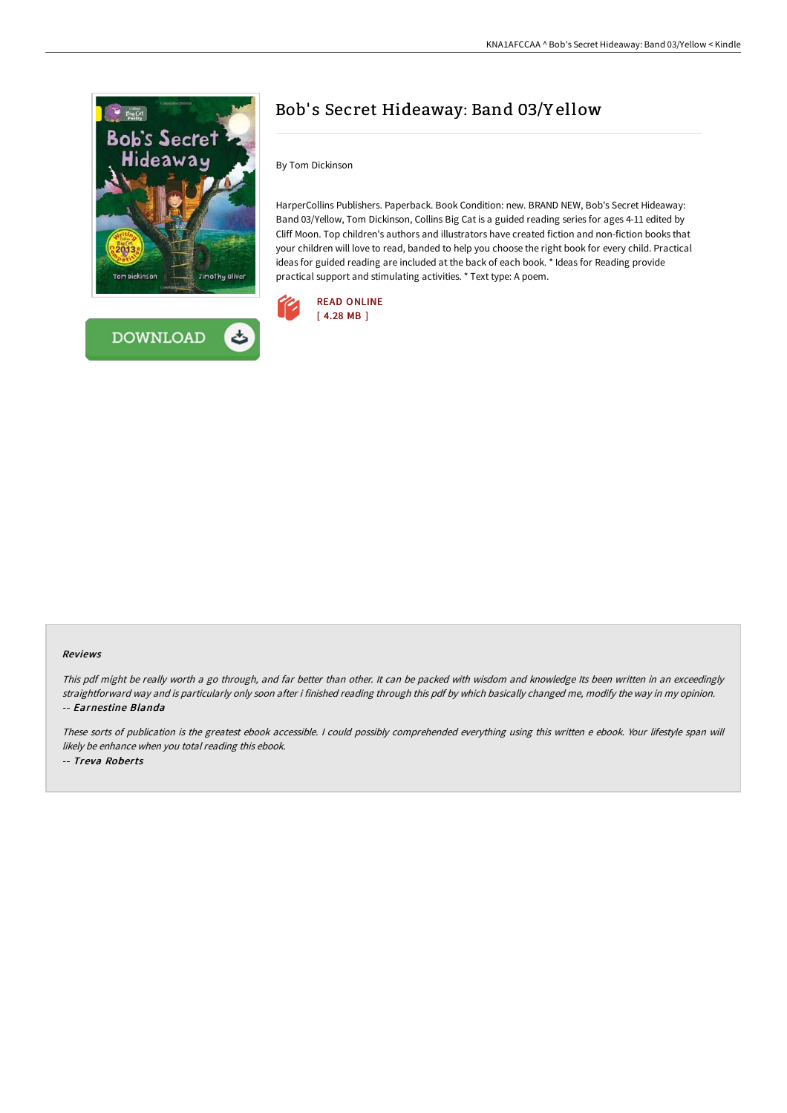



## Bob' s Secret Hideaway: Band 03/Y ellow

By Tom Dickinson

HarperCollins Publishers. Paperback. Book Condition: new. BRAND NEW, Bob's Secret Hideaway: Band 03/Yellow, Tom Dickinson, Collins Big Cat is a guided reading series for ages 4-11 edited by Cliff Moon. Top children's authors and illustrators have created fiction and non-fiction books that your children will love to read, banded to help you choose the right book for every child. Practical ideas for guided reading are included at the back of each book. \* Ideas for Reading provide practical support and stimulating activities. \* Text type: A poem.



## Reviews

This pdf might be really worth <sup>a</sup> go through, and far better than other. It can be packed with wisdom and knowledge Its been written in an exceedingly straightforward way and is particularly only soon after i finished reading through this pdf by which basically changed me, modify the way in my opinion. -- Earnestine Blanda

These sorts of publication is the greatest ebook accessible. <sup>I</sup> could possibly comprehended everything using this written <sup>e</sup> ebook. Your lifestyle span will likely be enhance when you total reading this ebook. -- Treva Roberts